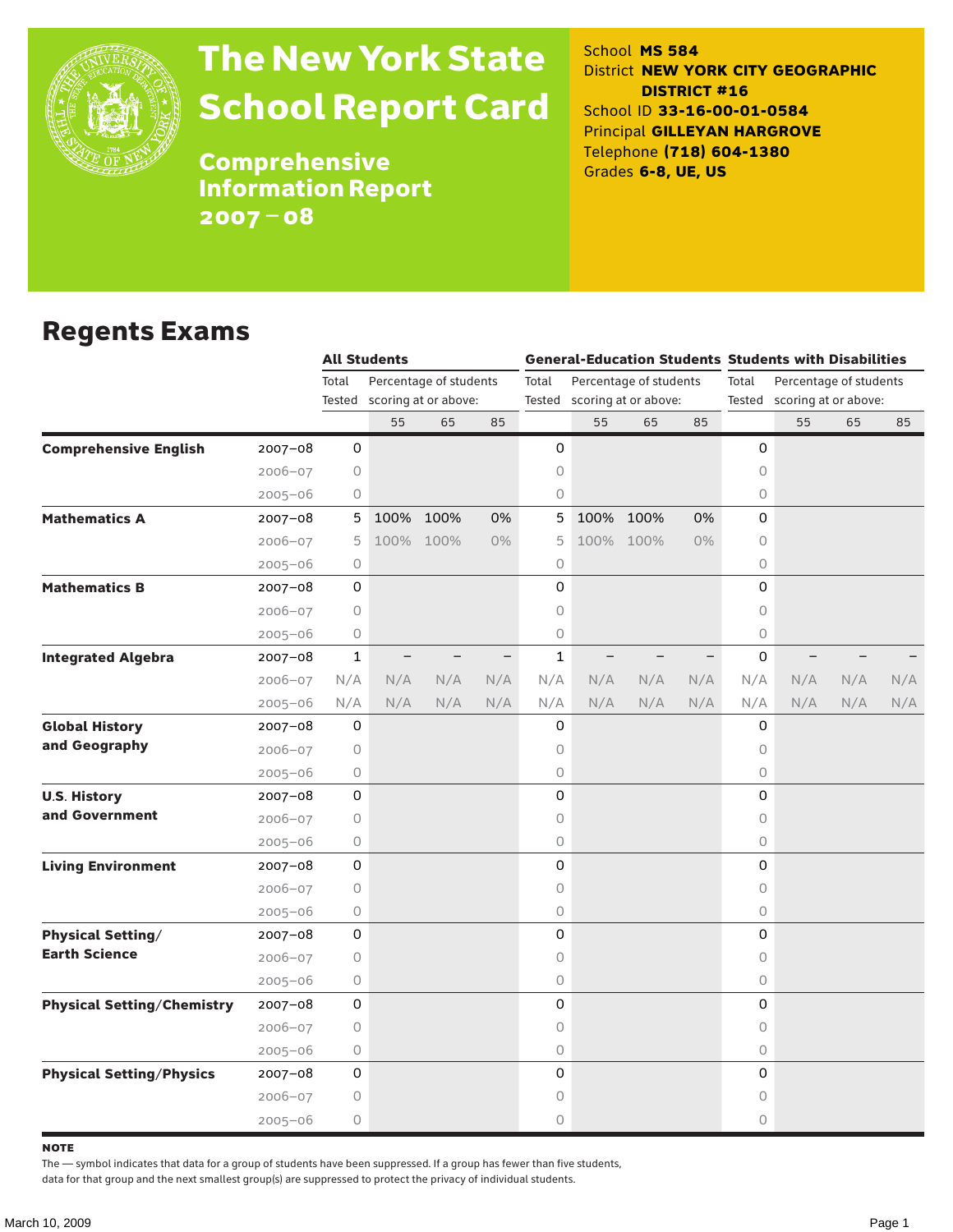

# The New York State School Report Card

School **MS 584** District **NEW YORK CITY GEOGRAPHIC DISTRICT #16** School ID **33-16-00-01-0584** Principal **GILLEYAN HARGROVE** Telephone **(718) 604-1380** Grades **6-8, UE, US**

**Comprehensive** Information Report 2007–08

#### Regents Exams

|                                   |             |              | <b>All Students</b> |                             |       |                                 | <b>General-Education Students Students with Disabilities</b> |           |     |                                 |                             |     |     |  |
|-----------------------------------|-------------|--------------|---------------------|-----------------------------|-------|---------------------------------|--------------------------------------------------------------|-----------|-----|---------------------------------|-----------------------------|-----|-----|--|
|                                   |             | Total        |                     | Percentage of students      |       | Total<br>Percentage of students |                                                              |           |     | Total<br>Percentage of students |                             |     |     |  |
|                                   |             |              |                     | Tested scoring at or above: |       |                                 | Tested scoring at or above:                                  |           |     |                                 | Tested scoring at or above: |     |     |  |
|                                   |             |              | 55                  | 65                          | 85    |                                 | 55                                                           | 65        | 85  |                                 | 55                          | 65  | 85  |  |
| <b>Comprehensive English</b>      | 2007-08     | 0            |                     |                             |       | 0                               |                                                              |           |     | 0                               |                             |     |     |  |
|                                   | $2006 - 07$ | 0            |                     |                             |       | 0                               |                                                              |           |     | 0                               |                             |     |     |  |
|                                   | $2005 - 06$ | 0            |                     |                             |       | 0                               |                                                              |           |     | 0                               |                             |     |     |  |
| <b>Mathematics A</b>              | $2007 - 08$ | 5            | 100%                | 100%                        | 0%    | 5                               | 100%                                                         | 100%      | 0%  | 0                               |                             |     |     |  |
|                                   | $2006 - 07$ | 5            |                     | 100% 100%                   | $0\%$ | 5                               |                                                              | 100% 100% | 0%  | 0                               |                             |     |     |  |
|                                   | $2005 - 06$ | 0            |                     |                             |       | 0                               |                                                              |           |     | 0                               |                             |     |     |  |
| <b>Mathematics B</b>              | $2007 - 08$ | 0            |                     |                             |       | 0                               |                                                              |           |     | 0                               |                             |     |     |  |
|                                   | $2006 - 07$ | 0            |                     |                             |       | 0                               |                                                              |           |     | $\circ$                         |                             |     |     |  |
|                                   | $2005 - 06$ | 0            |                     |                             |       | 0                               |                                                              |           |     | $\circ$                         |                             |     |     |  |
| <b>Integrated Algebra</b>         | $2007 - 08$ | $\mathbf{1}$ |                     |                             |       | $\mathbf{1}$                    |                                                              |           |     | 0                               |                             |     |     |  |
|                                   | $2006 - 07$ | N/A          | N/A                 | N/A                         | N/A   | N/A                             | N/A                                                          | N/A       | N/A | N/A                             | N/A                         | N/A | N/A |  |
|                                   | $2005 - 06$ | N/A          | N/A                 | N/A                         | N/A   | N/A                             | N/A                                                          | N/A       | N/A | N/A                             | N/A                         | N/A | N/A |  |
| <b>Global History</b>             | $2007 - 08$ | 0            |                     |                             |       | 0                               |                                                              |           |     | 0                               |                             |     |     |  |
| and Geography                     | $2006 - 07$ | 0            |                     |                             |       | 0                               |                                                              |           |     | 0                               |                             |     |     |  |
|                                   | $2005 - 06$ | 0            |                     |                             |       | 0                               |                                                              |           |     | $\circ$                         |                             |     |     |  |
| <b>U.S. History</b>               | $2007 - 08$ | 0            |                     |                             |       | 0                               |                                                              |           |     | 0                               |                             |     |     |  |
| and Government                    | $2006 - 07$ | 0            |                     |                             |       | 0                               |                                                              |           |     | 0                               |                             |     |     |  |
|                                   | $2005 - 06$ | 0            |                     |                             |       | 0                               |                                                              |           |     | $\circ$                         |                             |     |     |  |
| <b>Living Environment</b>         | $2007 - 08$ | 0            |                     |                             |       | 0                               |                                                              |           |     | 0                               |                             |     |     |  |
|                                   | $2006 - 07$ | 0            |                     |                             |       | 0                               |                                                              |           |     | 0                               |                             |     |     |  |
|                                   | $2005 - 06$ | 0            |                     |                             |       | 0                               |                                                              |           |     | 0                               |                             |     |     |  |
| <b>Physical Setting/</b>          | $2007 - 08$ | 0            |                     |                             |       | 0                               |                                                              |           |     | 0                               |                             |     |     |  |
| <b>Earth Science</b>              | $2006 - 07$ | 0            |                     |                             |       | 0                               |                                                              |           |     | $\circ$                         |                             |     |     |  |
|                                   | $2005 - 06$ | 0            |                     |                             |       | 0                               |                                                              |           |     | 0                               |                             |     |     |  |
| <b>Physical Setting/Chemistry</b> | $2007 - 08$ | 0            |                     |                             |       | 0                               |                                                              |           |     | 0                               |                             |     |     |  |
|                                   | $2006 - 07$ | $\circ$      |                     |                             |       | 0                               |                                                              |           |     | 0                               |                             |     |     |  |
|                                   | $2005 - 06$ | 0            |                     |                             |       | 0                               |                                                              |           |     | $\bigcirc$                      |                             |     |     |  |
| <b>Physical Setting/Physics</b>   | $2007 - 08$ | 0            |                     |                             |       | 0                               |                                                              |           |     | 0                               |                             |     |     |  |
|                                   | $2006 - 07$ | 0            |                     |                             |       | 0                               |                                                              |           |     | 0                               |                             |     |     |  |
|                                   | $2005 - 06$ | 0            |                     |                             |       | 0                               |                                                              |           |     | 0                               |                             |     |     |  |

**NOTE** 

The — symbol indicates that data for a group of students have been suppressed. If a group has fewer than five students,

data for that group and the next smallest group(s) are suppressed to protect the privacy of individual students.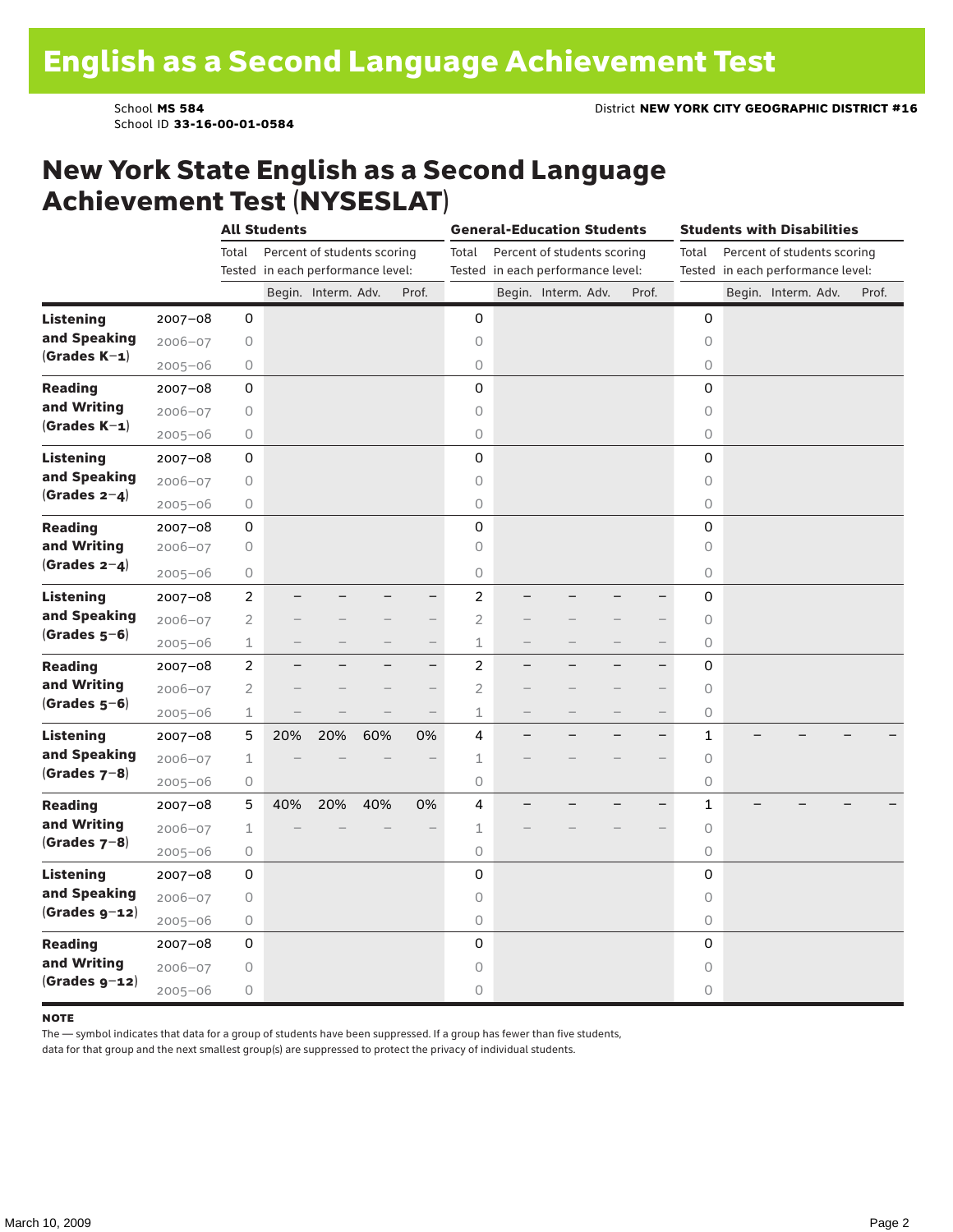School ID **33-16-00-01-0584**

#### New York State English as a Second Language Achievement Test (NYSESLAT)

|                  |             | <b>All Students</b> |                                   |                             |     |                          | <b>General-Education Students</b> |  |                                   |                          |                          | <b>Students with Disabilities</b> |                                   |                             |  |       |
|------------------|-------------|---------------------|-----------------------------------|-----------------------------|-----|--------------------------|-----------------------------------|--|-----------------------------------|--------------------------|--------------------------|-----------------------------------|-----------------------------------|-----------------------------|--|-------|
|                  |             | Total               |                                   | Percent of students scoring |     |                          | Total                             |  | Percent of students scoring       |                          |                          | Total                             |                                   | Percent of students scoring |  |       |
|                  |             |                     | Tested in each performance level: |                             |     |                          |                                   |  | Tested in each performance level: |                          |                          |                                   | Tested in each performance level: |                             |  |       |
|                  |             |                     |                                   | Begin. Interm. Adv.         |     | Prof.                    |                                   |  | Begin. Interm. Adv.               |                          | Prof.                    |                                   |                                   | Begin. Interm. Adv.         |  | Prof. |
| <b>Listening</b> | $2007 - 08$ | 0                   |                                   |                             |     |                          | 0                                 |  |                                   |                          |                          | 0                                 |                                   |                             |  |       |
| and Speaking     | $2006 - 07$ | 0                   |                                   |                             |     |                          | 0                                 |  |                                   |                          |                          | $\circ$                           |                                   |                             |  |       |
| $(Grades K-1)$   | $2005 - 06$ | 0                   |                                   |                             |     |                          | 0                                 |  |                                   |                          |                          | $\circ$                           |                                   |                             |  |       |
| <b>Reading</b>   | $2007 - 08$ | 0                   |                                   |                             |     |                          | 0                                 |  |                                   |                          |                          | 0                                 |                                   |                             |  |       |
| and Writing      | $2006 - 07$ | $\bigcirc$          |                                   |                             |     |                          | 0                                 |  |                                   |                          |                          | $\circ$                           |                                   |                             |  |       |
| (Grades $K-1$ )  | $2005 - 06$ | $\bigcirc$          |                                   |                             |     |                          | 0                                 |  |                                   |                          |                          | $\circ$                           |                                   |                             |  |       |
| <b>Listening</b> | $2007 - 08$ | 0                   |                                   |                             |     |                          | 0                                 |  |                                   |                          |                          | $\mathsf{O}\xspace$               |                                   |                             |  |       |
| and Speaking     | $2006 - 07$ | $\bigcirc$          |                                   |                             |     |                          | $\mathsf O$                       |  |                                   |                          |                          | $\bigcirc$                        |                                   |                             |  |       |
| $(Grades 2-4)$   | $2005 - 06$ | $\mathsf O$         |                                   |                             |     |                          | $\bigcirc$                        |  |                                   |                          |                          | $\bigcirc$                        |                                   |                             |  |       |
| <b>Reading</b>   | $2007 - 08$ | 0                   |                                   |                             |     |                          | 0                                 |  |                                   |                          |                          | 0                                 |                                   |                             |  |       |
| and Writing      | $2006 - 07$ | 0                   |                                   |                             |     |                          | 0                                 |  |                                   |                          |                          | $\circ$                           |                                   |                             |  |       |
| (Grades $2-4$ )  | $2005 - 06$ | 0                   |                                   |                             |     |                          | $\circ$                           |  |                                   |                          |                          | $\circ$                           |                                   |                             |  |       |
| <b>Listening</b> | $2007 - 08$ | $\overline{c}$      |                                   |                             |     | $\overline{\phantom{0}}$ | $\overline{c}$                    |  |                                   |                          | -                        | 0                                 |                                   |                             |  |       |
| and Speaking     | $2006 - 07$ | 2                   |                                   |                             |     | $\overline{\phantom{0}}$ | $\overline{2}$                    |  |                                   |                          | $\overline{\phantom{0}}$ | 0                                 |                                   |                             |  |       |
| $(Grades 5-6)$   | $2005 - 06$ | 1                   |                                   |                             |     |                          | 1                                 |  |                                   |                          |                          | $\circlearrowright$               |                                   |                             |  |       |
| <b>Reading</b>   | $2007 - 08$ | $\overline{c}$      |                                   |                             |     | $\overline{\phantom{0}}$ | $\overline{c}$                    |  |                                   |                          | $\overline{\phantom{0}}$ | 0                                 |                                   |                             |  |       |
| and Writing      | $2006 - 07$ | $\overline{2}$      |                                   |                             |     |                          | $\overline{2}$                    |  |                                   |                          | $\overline{\phantom{0}}$ | $\circ$                           |                                   |                             |  |       |
| $(Grades 5-6)$   | $2005 - 06$ | $\mathbf 1$         |                                   |                             |     | $\overline{\phantom{0}}$ | $\mathbf 1$                       |  |                                   | $\overline{\phantom{0}}$ | $\qquad \qquad -$        | $\circlearrowright$               |                                   |                             |  |       |
| <b>Listening</b> | $2007 - 08$ | 5                   | 20%                               | 20%                         | 60% | 0%                       | 4                                 |  |                                   |                          | $\overline{\phantom{0}}$ | $\mathbf{1}$                      |                                   |                             |  |       |
| and Speaking     | $2006 - 07$ | $\mathbf{1}$        |                                   |                             |     |                          | $\mathbf 1$                       |  |                                   |                          |                          | $\circ$                           |                                   |                             |  |       |
| $(Grades 7-8)$   | $2005 - 06$ | 0                   |                                   |                             |     |                          | 0                                 |  |                                   |                          |                          | 0                                 |                                   |                             |  |       |
| <b>Reading</b>   | $2007 - 08$ | 5                   | 40%                               | 20%                         | 40% | 0%                       | 4                                 |  |                                   |                          |                          | 1                                 |                                   |                             |  |       |
| and Writing      | $2006 - 07$ | 1                   |                                   |                             |     |                          | 1                                 |  |                                   |                          |                          | $\circlearrowright$               |                                   |                             |  |       |
| $(Grades 7-8)$   | $2005 - 06$ | $\bigcirc$          |                                   |                             |     |                          | 0                                 |  |                                   |                          |                          | $\circlearrowright$               |                                   |                             |  |       |
| <b>Listening</b> | $2007 - 08$ | 0                   |                                   |                             |     |                          | 0                                 |  |                                   |                          |                          | 0                                 |                                   |                             |  |       |
| and Speaking     | $2006 - 07$ | $\mathsf O$         |                                   |                             |     |                          | $\circ$                           |  |                                   |                          |                          | $\circ$                           |                                   |                             |  |       |
| $(Grades g-12)$  | $2005 - 06$ | 0                   |                                   |                             |     |                          | 0                                 |  |                                   |                          |                          | $\circlearrowright$               |                                   |                             |  |       |
| <b>Reading</b>   | $2007 - 08$ | 0                   |                                   |                             |     |                          | 0                                 |  |                                   |                          |                          | 0                                 |                                   |                             |  |       |
| and Writing      | $2006 - 07$ | 0                   |                                   |                             |     |                          | 0                                 |  |                                   |                          |                          | 0                                 |                                   |                             |  |       |
| $(Grades g-12)$  | $2005 - 06$ | $\bigcirc$          |                                   |                             |     |                          | 0                                 |  |                                   |                          |                          | 0                                 |                                   |                             |  |       |

#### **NOTE**

The — symbol indicates that data for a group of students have been suppressed. If a group has fewer than five students,

data for that group and the next smallest group(s) are suppressed to protect the privacy of individual students.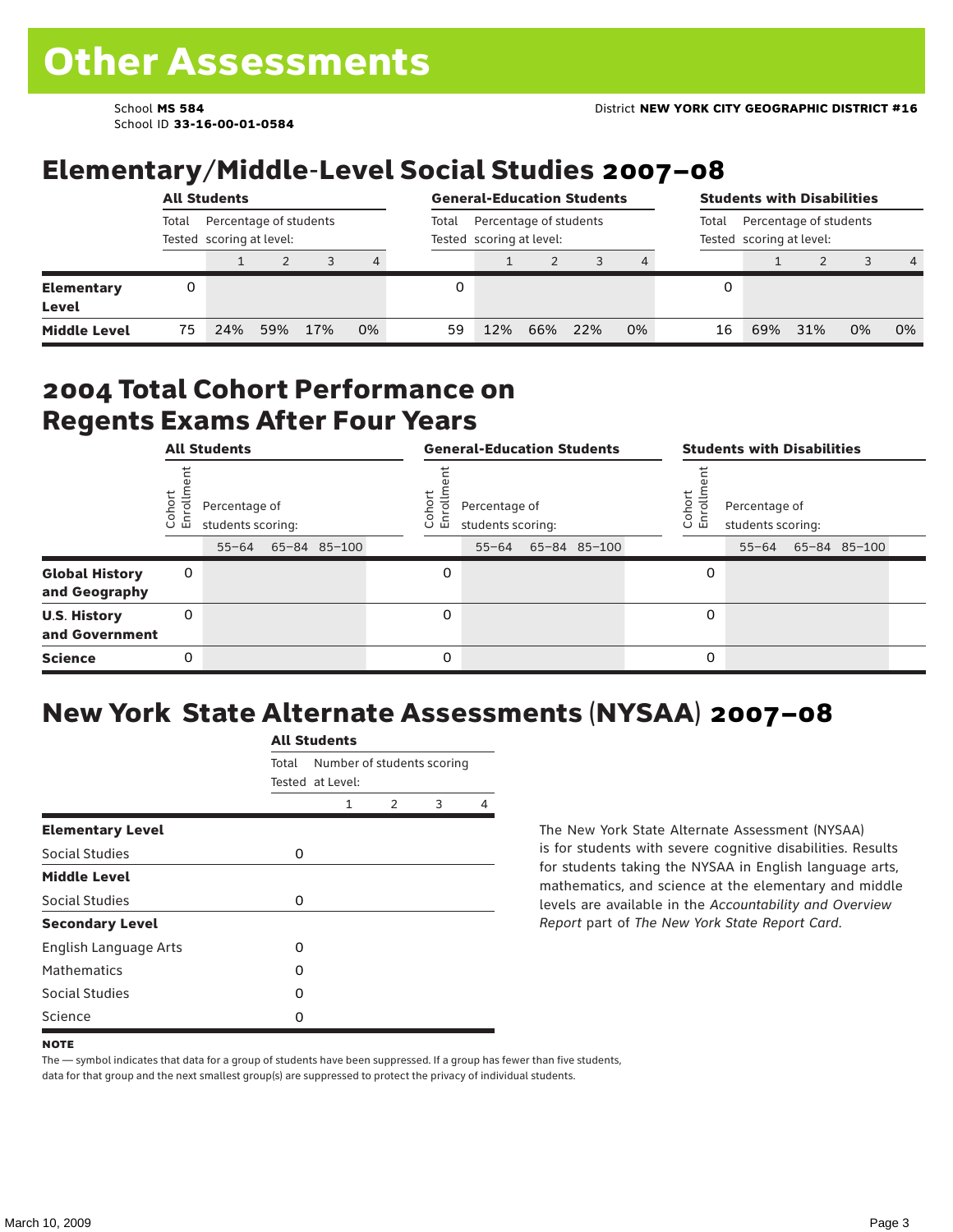School ID **33-16-00-01-0584**

#### Elementary/Middle-Level Social Studies 2007–08

|                            |                                                             | <b>All Students</b> |     |     |    | <b>General-Education Students</b> |                                                    |     |     |    | <b>Students with Disabilities</b> |                                                             |     |    |                |  |
|----------------------------|-------------------------------------------------------------|---------------------|-----|-----|----|-----------------------------------|----------------------------------------------------|-----|-----|----|-----------------------------------|-------------------------------------------------------------|-----|----|----------------|--|
|                            | Percentage of students<br>Total<br>Tested scoring at level: |                     |     |     |    | Total                             | Percentage of students<br>Tested scoring at level: |     |     |    |                                   | Percentage of students<br>Total<br>Tested scoring at level: |     |    |                |  |
|                            |                                                             |                     |     |     | 4  |                                   |                                                    |     |     |    |                                   |                                                             |     |    | $\overline{4}$ |  |
| <b>Elementary</b><br>Level | 0                                                           |                     |     |     |    |                                   |                                                    |     |     |    | 0                                 |                                                             |     |    |                |  |
| <b>Middle Level</b>        | 75                                                          | 24%                 | 59% | 17% | 0% | 59                                | 12%                                                | 66% | 22% | 0% | 16                                | 69%                                                         | 31% | 0% | 0%             |  |

#### 2004 Total Cohort Performance on Regents Exams After Four Years

|                                        |                 | <b>All Students</b>                             |  |              | <b>General-Education Students</b> |                                                 |  |              |  | <b>Students with Disabilities</b> |                                    |  |                    |  |
|----------------------------------------|-----------------|-------------------------------------------------|--|--------------|-----------------------------------|-------------------------------------------------|--|--------------|--|-----------------------------------|------------------------------------|--|--------------------|--|
|                                        | Cohor<br>Enroll | Percentage of<br>students scoring:<br>$55 - 64$ |  | 65-84 85-100 | Coho<br>o.<br>屲                   | Percentage of<br>students scoring:<br>$55 - 64$ |  | 65-84 85-100 |  | Cohort<br>o.<br>멷                 | Percentage of<br>students scoring: |  | 55-64 65-84 85-100 |  |
| <b>Global History</b><br>and Geography | 0               |                                                 |  |              | 0                                 |                                                 |  |              |  | 0                                 |                                    |  |                    |  |
| <b>U.S. History</b><br>and Government  | 0               |                                                 |  |              | 0                                 |                                                 |  |              |  | 0                                 |                                    |  |                    |  |
| <b>Science</b>                         | 0               |                                                 |  |              | 0                                 |                                                 |  |              |  | 0                                 |                                    |  |                    |  |

## New York State Alternate Assessments (NYSAA) 2007–08

|                         | <b>All Students</b>       |                            |               |   |   |  |  |  |  |  |
|-------------------------|---------------------------|----------------------------|---------------|---|---|--|--|--|--|--|
|                         | Total<br>Tested at Level: | Number of students scoring |               |   |   |  |  |  |  |  |
|                         |                           | 1                          | $\mathcal{P}$ | 3 | 4 |  |  |  |  |  |
| <b>Elementary Level</b> |                           |                            |               |   |   |  |  |  |  |  |
| Social Studies          | 0                         |                            |               |   |   |  |  |  |  |  |
| <b>Middle Level</b>     |                           |                            |               |   |   |  |  |  |  |  |
| Social Studies          | 0                         |                            |               |   |   |  |  |  |  |  |
| <b>Secondary Level</b>  |                           |                            |               |   |   |  |  |  |  |  |
| English Language Arts   | 0                         |                            |               |   |   |  |  |  |  |  |
| <b>Mathematics</b>      | O                         |                            |               |   |   |  |  |  |  |  |
| Social Studies          | O                         |                            |               |   |   |  |  |  |  |  |
| Science                 | 0                         |                            |               |   |   |  |  |  |  |  |

The New York State Alternate Assessment (NYSAA) is for students with severe cognitive disabilities. Results for students taking the NYSAA in English language arts, mathematics, and science at the elementary and middle levels are available in the *Accountability and Overview Report* part of *The New York State Report Card*.

The — symbol indicates that data for a group of students have been suppressed. If a group has fewer than five students, data for that group and the next smallest group(s) are suppressed to protect the privacy of individual students.

**NOTE**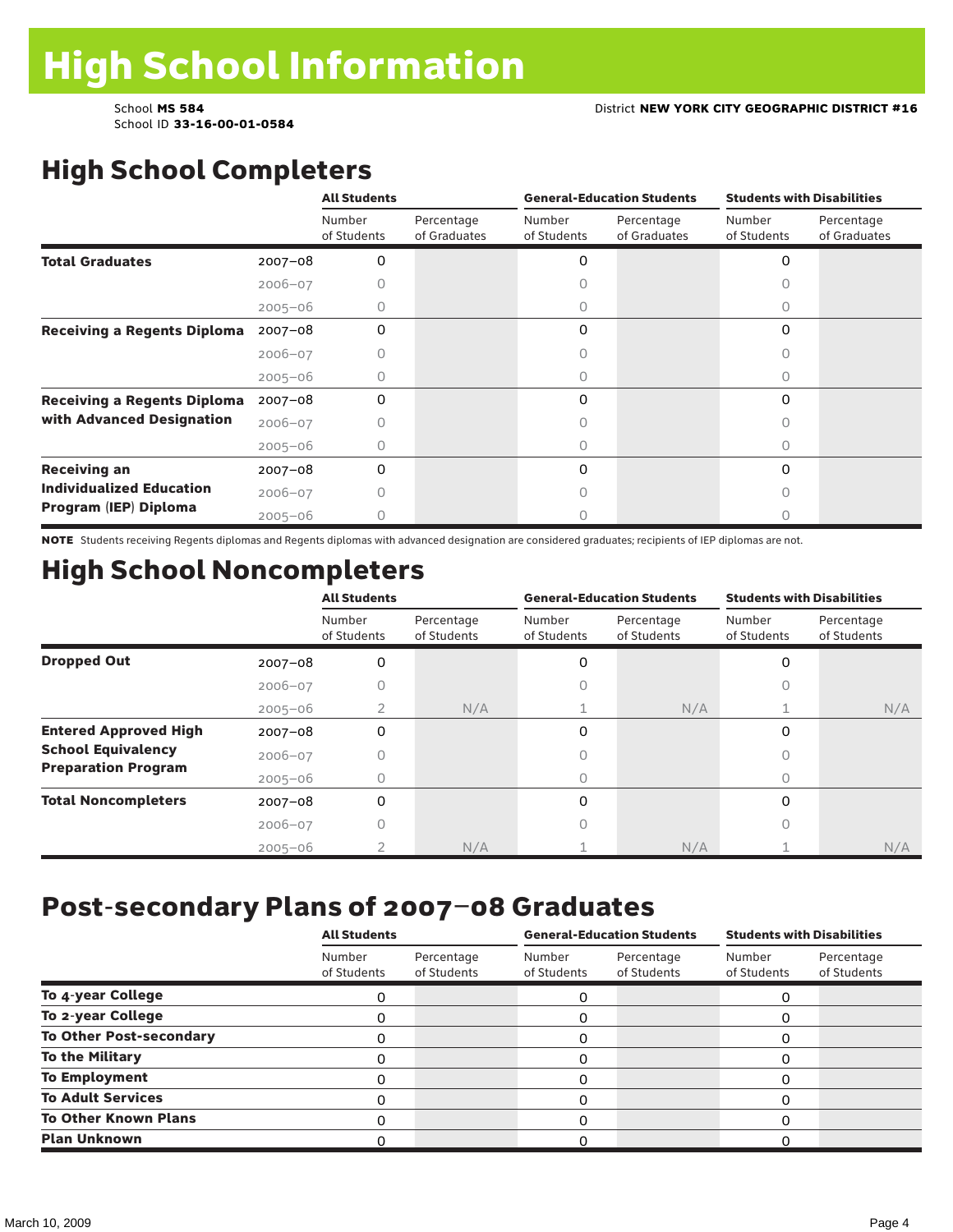# High School Completers

|                                    |             | <b>All Students</b>   |                            |                       | <b>General-Education Students</b> | <b>Students with Disabilities</b> |                            |  |
|------------------------------------|-------------|-----------------------|----------------------------|-----------------------|-----------------------------------|-----------------------------------|----------------------------|--|
|                                    |             | Number<br>of Students | Percentage<br>of Graduates | Number<br>of Students | Percentage<br>of Graduates        | Number<br>of Students             | Percentage<br>of Graduates |  |
| <b>Total Graduates</b>             | $2007 - 08$ | 0                     |                            | 0                     |                                   | 0                                 |                            |  |
|                                    | $2006 - 07$ |                       |                            |                       |                                   |                                   |                            |  |
|                                    | $2005 - 06$ | 0                     |                            | 0                     |                                   | 0                                 |                            |  |
| <b>Receiving a Regents Diploma</b> | $2007 - 08$ | $\Omega$              |                            | 0                     |                                   | $\Omega$                          |                            |  |
|                                    | $2006 - 07$ |                       |                            |                       |                                   | n                                 |                            |  |
|                                    | $2005 - 06$ |                       |                            | 0                     |                                   | Ω                                 |                            |  |
| <b>Receiving a Regents Diploma</b> | $2007 - 08$ | $\Omega$              |                            | 0                     |                                   | 0                                 |                            |  |
| with Advanced Designation          | $2006 - 07$ |                       |                            |                       |                                   | Ω                                 |                            |  |
|                                    | $2005 - 06$ |                       |                            |                       |                                   |                                   |                            |  |
| <b>Receiving an</b>                | $2007 - 08$ | 0                     |                            | 0                     |                                   | 0                                 |                            |  |
| <b>Individualized Education</b>    | $2006 - 07$ |                       |                            |                       |                                   |                                   |                            |  |
| Program (IEP) Diploma              | $2005 - 06$ | Ω                     |                            | 0                     |                                   | Ω                                 |                            |  |

NOTE Students receiving Regents diplomas and Regents diplomas with advanced designation are considered graduates; recipients of IEP diplomas are not.

## High School Noncompleters

|                              |             | <b>All Students</b>   |                           |                       | <b>General-Education Students</b> | <b>Students with Disabilities</b> |                           |  |
|------------------------------|-------------|-----------------------|---------------------------|-----------------------|-----------------------------------|-----------------------------------|---------------------------|--|
|                              |             | Number<br>of Students | Percentage<br>of Students | Number<br>of Students | Percentage<br>of Students         | Number<br>of Students             | Percentage<br>of Students |  |
| <b>Dropped Out</b>           | $2007 - 08$ | 0                     |                           | 0                     |                                   | 0                                 |                           |  |
|                              | $2006 - 07$ |                       |                           |                       |                                   | 0                                 |                           |  |
|                              | $2005 - 06$ | $\overline{2}$        | N/A                       |                       | N/A                               |                                   | N/A                       |  |
| <b>Entered Approved High</b> | $2007 - 08$ | 0                     |                           | 0                     |                                   | $\Omega$                          |                           |  |
| <b>School Equivalency</b>    | $2006 - 07$ |                       |                           |                       |                                   |                                   |                           |  |
| <b>Preparation Program</b>   | $2005 - 06$ | 0                     |                           | 0                     |                                   | 0                                 |                           |  |
| <b>Total Noncompleters</b>   | $2007 - 08$ | 0                     |                           | 0                     |                                   | $\Omega$                          |                           |  |
|                              | $2006 - 07$ |                       |                           |                       |                                   |                                   |                           |  |
|                              | $2005 - 06$ |                       | N/A                       |                       | N/A                               |                                   | N/A                       |  |

#### Post-secondary Plans of 2007–08 Graduates

|                                | <b>All Students</b>   |                           |                       | <b>General-Education Students</b> | <b>Students with Disabilities</b> |                           |  |
|--------------------------------|-----------------------|---------------------------|-----------------------|-----------------------------------|-----------------------------------|---------------------------|--|
|                                | Number<br>of Students | Percentage<br>of Students | Number<br>of Students | Percentage<br>of Students         | Number<br>of Students             | Percentage<br>of Students |  |
| To 4-year College              | Ω                     |                           | 0                     |                                   |                                   |                           |  |
| To 2-year College              |                       |                           | Ω                     |                                   |                                   |                           |  |
| <b>To Other Post-secondary</b> |                       |                           | 0                     |                                   |                                   |                           |  |
| To the Military                |                       |                           | 0                     |                                   |                                   |                           |  |
| <b>To Employment</b>           |                       |                           |                       |                                   |                                   |                           |  |
| <b>To Adult Services</b>       |                       |                           | 0                     |                                   |                                   |                           |  |
| <b>To Other Known Plans</b>    |                       |                           | Ω                     |                                   |                                   |                           |  |
| <b>Plan Unknown</b>            |                       |                           |                       |                                   |                                   |                           |  |